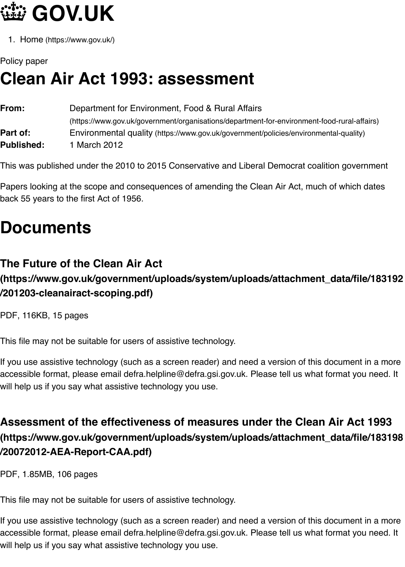| From:             | Department for Environment, Food & Rural Atlairs                                    |
|-------------------|-------------------------------------------------------------------------------------|
|                   | (https://www.gov.uk/government/organisations/department-for-environment-food-rural- |
| Part of:          | Environmental quality (https://www.gov.uk/government/policies/environmental-qual    |
| <b>Published:</b> | 1 March 2012                                                                        |
|                   |                                                                                     |

This was published under the 2010 to 2015 Conservative and Liberal Democrat coalition gov

Papers looking at the scope and consequences of amending the Clean Air Act, much of whic back 55 years to the first Act of 1956.

## **Docume[nts](https://www.gov.uk/government/organisations/department-for-environment-food-rural-affairs)**

## **The Future of the Clean Air Act**

## **(https://www.gov.uk/government/uploads/system/uploads/attachment\_data/file/183192 /201203-cleanairact-scoping.pdf)**

PDF, 116KB, 15 pages

This file may not be suitable for users of assistive technology.

If you use assistive technology (such as a screen reader) and need a version of this docume accessible format, please email defra.helpline@defra.gsi.gov.uk. Please tell us what format y will help us if you say what assistive technology you use.

## **Assessment of the effectiveness of measures under the Clean Air A (https://www.gov.uk/government/uploads/system/uploads/attachment\_data/file/183198 /20072012-AEA-Report-CAA.pdf)**

PDF, 1.85MB, 106 pages

This file may not be suitable for users of assistive technology.

If you use assistive technology (such as a screen reader) and need a version of this docume accessible format, please email defra.helpline@defra.gsi.gov.uk. Please tell us what format y will help us if you say what assistive technology you use.